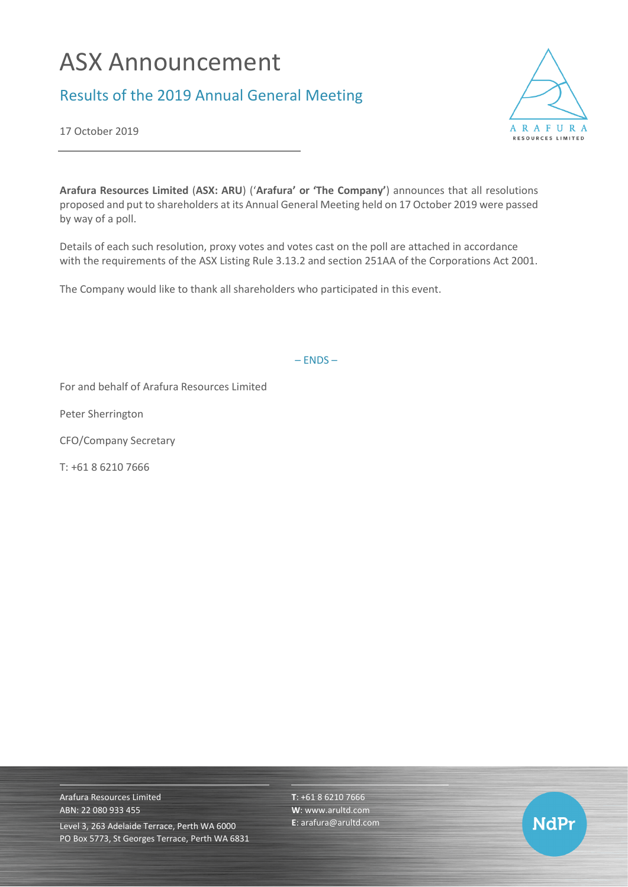## ASX Announcement

## Results of the 2019 Annual General Meeting



17 October 2019

**Arafura Resources Limited** (**ASX: ARU**) ('**Arafura' or 'The Company'**) announces that all resolutions proposed and put to shareholders at its Annual General Meeting held on 17 October 2019 were passed by way of a poll.

Details of each such resolution, proxy votes and votes cast on the poll are attached in accordance with the requirements of the ASX Listing Rule 3.13.2 and section 251AA of the Corporations Act 2001.

The Company would like to thank all shareholders who participated in this event.

– ENDS –

For and behalf of Arafura Resources Limited

Peter Sherrington

CFO/Company Secretary

T: +61 8 6210 7666

Arafura Resources Limited ABN: 22 080 933 455 Level 3, 263 Adelaide Terrace, Perth WA 6000 PO Box 5773, St Georges Terrace, Perth WA 6831 **T**: +61 8 6210 7666 **W**: [www.arultd.com](http://www.arultd.com/) **E**[: arafura@arultd.com](mailto:arafura@arultd.com)